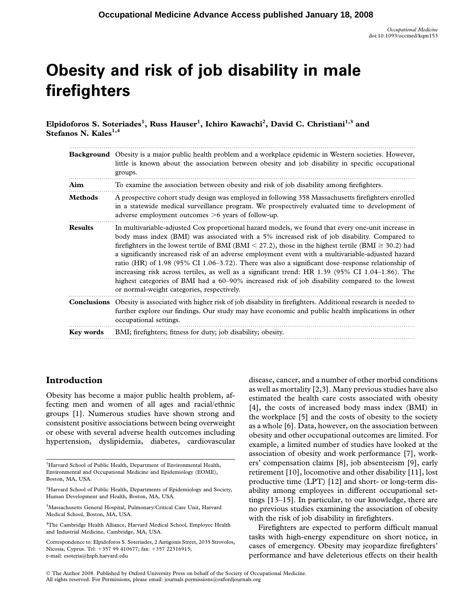# Obesity and risk of job disability in male firefighters

Elpidoforos S. Soteriades<sup>1</sup>, Russ Hauser<sup>1</sup>, Ichiro Kawachi<sup>2</sup>, David C. Christiani<sup>1,3</sup> and Stefanos N. Kales $^{1,4}$ 

|                | Background Obesity is a major public health problem and a workplace epidemic in Western societies. However,<br>little is known about the association between obesity and job disability in specific occupational<br>groups.                                                                                                                                                                                                                                                                                                                                                                                                                                                                                                                                                     |  |  |
|----------------|---------------------------------------------------------------------------------------------------------------------------------------------------------------------------------------------------------------------------------------------------------------------------------------------------------------------------------------------------------------------------------------------------------------------------------------------------------------------------------------------------------------------------------------------------------------------------------------------------------------------------------------------------------------------------------------------------------------------------------------------------------------------------------|--|--|
| Aim            | To examine the association between obesity and risk of job disability among firefighters.                                                                                                                                                                                                                                                                                                                                                                                                                                                                                                                                                                                                                                                                                       |  |  |
| <b>Methods</b> | A prospective cohort study design was employed in following 358 Massachusetts firefighters enrolled<br>in a statewide medical surveillance program. We prospectively evaluated time to development of<br>adverse employment outcomes $>6$ years of follow-up.                                                                                                                                                                                                                                                                                                                                                                                                                                                                                                                   |  |  |
| <b>Results</b> | In multivariable-adjusted Cox proportional hazard models, we found that every one-unit increase in<br>body mass index (BMI) was associated with a 5% increased risk of job disability. Compared to<br>firefighters in the lowest tertile of BMI (BMI < 27.2), those in the highest tertile (BMI $\geq$ 30.2) had<br>a significantly increased risk of an adverse employment event with a multivariable-adjusted hazard<br>ratio (HR) of 1.98 (95% CI 1.06–3.72). There was also a significant dose–response relationship of<br>increasing risk across tertiles, as well as a significant trend: HR 1.39 (95% CI 1.04–1.86). The<br>highest categories of BMI had a 60–90% increased risk of job disability compared to the lowest<br>or normal-weight categories, respectively. |  |  |
|                | Conclusions Obesity is associated with higher risk of job disability in firefighters. Additional research is needed to<br>further explore our findings. Our study may have economic and public health implications in other<br>occupational settings.                                                                                                                                                                                                                                                                                                                                                                                                                                                                                                                           |  |  |
| Key words      | BMI; firefighters; fitness for duty; job disability; obesity.                                                                                                                                                                                                                                                                                                                                                                                                                                                                                                                                                                                                                                                                                                                   |  |  |

## Introduction

Obesity has become a major public health problem, affecting men and women of all ages and racial/ethnic groups [1]. Numerous studies have shown strong and consistent positive associations between being overweight or obese with several adverse health outcomes including hypertension, dyslipidemia, diabetes, cardiovascular disease, cancer, and a number of other morbid conditions as well as mortality [2,3]. Many previous studies have also estimated the health care costs associated with obesity [4], the costs of increased body mass index (BMI) in the workplace [5] and the costs of obesity to the society as a whole [6]. Data, however, on the association between obesity and other occupational outcomes are limited. For example, a limited number of studies have looked at the association of obesity and work performance [7], workers' compensation claims [8], job absenteeism [9], early retirement [10], locomotive and other disability [11], lost productive time (LPT) [12] and short- or long-term disability among employees in different occupational settings [13–15]. In particular, to our knowledge, there are no previous studies examining the association of obesity with the risk of job disability in firefighters.

Firefighters are expected to perform difficult manual tasks with high-energy expenditure on short notice, in cases of emergency. Obesity may jeopardize firefighters' performance and have deleterious effects on their health

 The Author 2008. Published by Oxford University Press on behalf of the Society of Occupational Medicine. All rights reserved. For Permissions, please email: journals.permissions@oxfordjournals.org

<sup>&</sup>lt;sup>1</sup>Harvard School of Public Health, Department of Environmental Health, Environmental and Occupational Medicine and Epidemiology (EOME), Boston, MA, USA.

<sup>&</sup>lt;sup>2</sup>Harvard School of Public Health, Departments of Epidemiology and Society, Human Development and Health, Boston, MA, USA.

<sup>&</sup>lt;sup>3</sup>Massachusetts General Hospital, Pulmonary/Critical Care Unit, Harvard Medical School, Boston, MA, USA.

<sup>&</sup>lt;sup>4</sup>The Cambridge Health Alliance, Harvard Medical School, Employee Health and Industrial Medicine, Cambridge, MA, USA.

Correspondence to: Elpidoforos S. Soteriades, 2 Antigonis Street, 2035 Strovolos, Nicosia, Cyprus. Tel: +357 99 410677; fax: +357 22316915; e-mail: esoteria@hsph.harvard.edu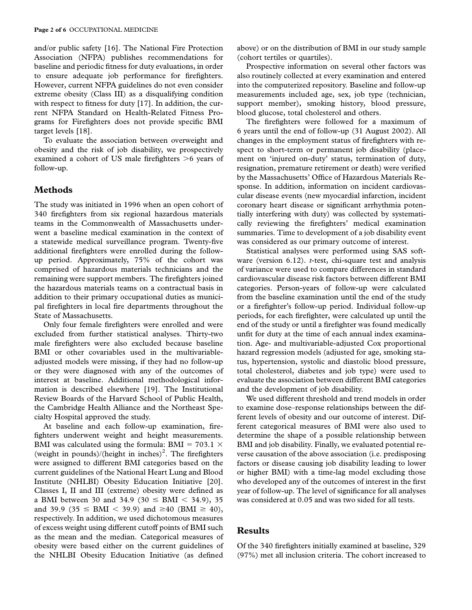and/or public safety [16]. The National Fire Protection Association (NFPA) publishes recommendations for baseline and periodic fitness for duty evaluations, in order to ensure adequate job performance for firefighters. However, current NFPA guidelines do not even consider extreme obesity (Class III) as a disqualifying condition with respect to fitness for duty [17]. In addition, the current NFPA Standard on Health-Related Fitness Programs for Firefighters does not provide specific BMI target levels [18].

To evaluate the association between overweight and obesity and the risk of job disability, we prospectively examined a cohort of US male firefighters  $>6$  years of follow-up.

## Methods

The study was initiated in 1996 when an open cohort of 340 firefighters from six regional hazardous materials teams in the Commonwealth of Massachusetts underwent a baseline medical examination in the context of a statewide medical surveillance program. Twenty-five additional firefighters were enrolled during the followup period. Approximately, 75% of the cohort was comprised of hazardous materials technicians and the remaining were support members. The firefighters joined the hazardous materials teams on a contractual basis in addition to their primary occupational duties as municipal firefighters in local fire departments throughout the State of Massachusetts.

Only four female firefighters were enrolled and were excluded from further statistical analyses. Thirty-two male firefighters were also excluded because baseline BMI or other covariables used in the multivariableadjusted models were missing, if they had no follow-up or they were diagnosed with any of the outcomes of interest at baseline. Additional methodological information is described elsewhere [19]. The Institutional Review Boards of the Harvard School of Public Health, the Cambridge Health Alliance and the Northeast Specialty Hospital approved the study.

At baseline and each follow-up examination, firefighters underwent weight and height measurements. BMI was calculated using the formula: BMI =  $703.1 \times$ (weight in pounds)/(height in inches)<sup>2</sup>. The firefighters were assigned to different BMI categories based on the current guidelines of the National Heart Lung and Blood Institute (NHLBI) Obesity Education Initiative [20]. Classes I, II and III (extreme) obesity were defined as a BMI between 30 and 34.9 (30  $\leq$  BMI  $<$  34.9), 35 and 39.9 (35  $\leq$  BMI  $<$  39.9) and  $\geq$ 40 (BMI  $\geq$  40), respectively. In addition, we used dichotomous measures of excess weight using different cutoff points of BMI such as the mean and the median. Categorical measures of obesity were based either on the current guidelines of the NHLBI Obesity Education Initiative (as defined

above) or on the distribution of BMI in our study sample (cohort tertiles or quartiles).

Prospective information on several other factors was also routinely collected at every examination and entered into the computerized repository. Baseline and follow-up measurements included age, sex, job type (technician, support member), smoking history, blood pressure, blood glucose, total cholesterol and others.

The firefighters were followed for a maximum of 6 years until the end of follow-up (31 August 2002). All changes in the employment status of firefighters with respect to short-term or permanent job disability (placement on 'injured on-duty' status, termination of duty, resignation, premature retirement or death) were verified by the Massachusetts' Office of Hazardous Materials Response. In addition, information on incident cardiovascular disease events (new myocardial infarction, incident coronary heart disease or significant arrhythmia potentially interfering with duty) was collected by systematically reviewing the firefighters' medical examination summaries. Time to development of a job disability event was considered as our primary outcome of interest.

Statistical analyses were performed using SAS software (version  $6.12$ ). *t*-test, chi-square test and analysis of variance were used to compare differences in standard cardiovascular disease risk factors between different BMI categories. Person-years of follow-up were calculated from the baseline examination until the end of the study or a firefighter's follow-up period. Individual follow-up periods, for each firefighter, were calculated up until the end of the study or until a firefighter was found medically unfit for duty at the time of each annual index examination. Age- and multivariable-adjusted Cox proportional hazard regression models (adjusted for age, smoking status, hypertension, systolic and diastolic blood pressure, total cholesterol, diabetes and job type) were used to evaluate the association between different BMI categories and the development of job disability.

We used different threshold and trend models in order to examine dose–response relationships between the different levels of obesity and our outcome of interest. Different categorical measures of BMI were also used to determine the shape of a possible relationship between BMI and job disability. Finally, we evaluated potential reverse causation of the above association (i.e. predisposing factors or disease causing job disability leading to lower or higher BMI) with a time-lag model excluding those who developed any of the outcomes of interest in the first year of follow-up. The level of significance for all analyses was considered at 0.05 and was two sided for all tests.

#### Results

Of the 340 firefighters initially examined at baseline, 329 (97%) met all inclusion criteria. The cohort increased to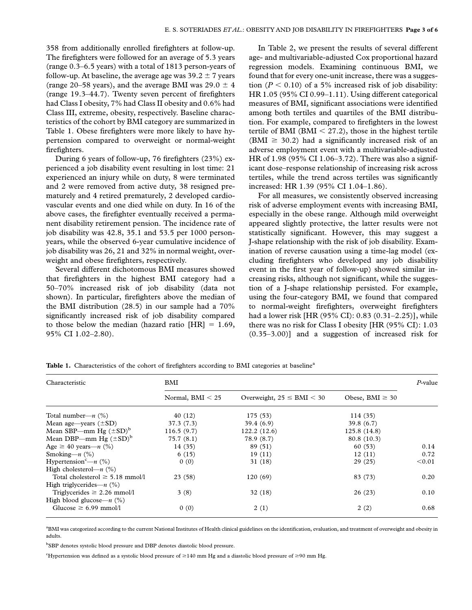358 from additionally enrolled firefighters at follow-up. The firefighters were followed for an average of 5.3 years (range 0.3–6.5 years) with a total of 1813 person-years of follow-up. At baseline, the average age was  $39.2 \pm 7$  years (range 20–58 years), and the average BMI was 29.0  $\pm$  4 (range 19.3–44.7). Twenty seven percent of firefighters had Class I obesity, 7% had Class II obesity and 0.6% had Class III, extreme, obesity, respectively. Baseline characteristics of the cohort by BMI category are summarized in Table 1. Obese firefighters were more likely to have hypertension compared to overweight or normal-weight firefighters.

During 6 years of follow-up, 76 firefighters (23%) experienced a job disability event resulting in lost time: 21 experienced an injury while on duty, 8 were terminated and 2 were removed from active duty, 38 resigned prematurely and 4 retired prematurely, 2 developed cardiovascular events and one died while on duty. In 16 of the above cases, the firefighter eventually received a permanent disability retirement pension. The incidence rate of job disability was 42.8, 35.1 and 53.5 per 1000 personyears, while the observed 6-year cumulative incidence of job disability was 26, 21 and 32% in normal weight, overweight and obese firefighters, respectively.

Several different dichotomous BMI measures showed that firefighters in the highest BMI category had a 50–70% increased risk of job disability (data not shown). In particular, firefighters above the median of the BMI distribution (28.5) in our sample had a 70% significantly increased risk of job disability compared to those below the median (hazard ratio  $[HR] = 1.69$ , 95% CI 1.02–2.80).

In Table 2, we present the results of several different age- and multivariable-adjusted Cox proportional hazard regression models. Examining continuous BMI, we found that for every one-unit increase, there was a suggestion ( $P < 0.10$ ) of a 5% increased risk of job disability: HR 1.05 (95% CI 0.99–1.11). Using different categorical measures of BMI, significant associations were identified among both tertiles and quartiles of the BMI distribution. For example, compared to firefighters in the lowest tertile of BMI (BMI  $<$  27.2), those in the highest tertile (BMI  $\geq$  30.2) had a significantly increased risk of an adverse employment event with a multivariable-adjusted HR of 1.98 (95% CI 1.06–3.72). There was also a significant dose–response relationship of increasing risk across tertiles, while the trend across tertiles was significantly increased: HR 1.39 (95% CI 1.04–1.86).

For all measures, we consistently observed increasing risk of adverse employment events with increasing BMI, especially in the obese range. Although mild overweight appeared slightly protective, the latter results were not statistically significant. However, this may suggest a J-shape relationship with the risk of job disability. Examination of reverse causation using a time-lag model (excluding firefighters who developed any job disability event in the first year of follow-up) showed similar increasing risks, although not significant, while the suggestion of a J-shape relationship persisted. For example, using the four-category BMI, we found that compared to normal-weight firefighters, overweight firefighters had a lower risk [HR (95% CI): 0.83 (0.31–2.25)], while there was no risk for Class I obesity [HR (95% CI): 1.03 (0.35–3.00)] and a suggestion of increased risk for

| Characteristic                       | BMI                |                                |                      |        |
|--------------------------------------|--------------------|--------------------------------|----------------------|--------|
|                                      | Normal, $BMI < 25$ | Overweight, $25 \leq BMI < 30$ | Obese, BMI $\geq 30$ |        |
| Total number— $n$ (%)                | 40 (12)            | 175 (53)                       | 114(35)              |        |
| Mean age—years $(\pm SD)$            | 37.3 (7.3)         | 39.4(6.9)                      | 39.8 $(6.7)$         |        |
| Mean SBP—mm Hg $(\pm SD)^b$          | 116.5(9.7)         | 122.2(12.6)                    | 125.8(14.8)          |        |
| Mean DBP—mm Hg $(\pm SD)^b$          | 75.7(8.1)          | 78.9 (8.7)                     | 80.8(10.3)           |        |
| Age $\geq 40$ years— <i>n</i> (%)    | 14 (35)            | 89 (51)                        | 60(53)               | 0.14   |
| Smoking— $n$ (%)                     | 6(15)              | 19(11)                         | 12(11)               | 0.72   |
| Hypertension <sup>c</sup> —n $(\%)$  | 0(0)               | 31(18)                         | 29(25)               | < 0.01 |
| High cholesterol— $n$ (%)            |                    |                                |                      |        |
| Total cholesterol $\geq$ 5.18 mmol/l | 23(58)             | 120(69)                        | 83 (73)              | 0.20   |
| High triglycerides— $n$ (%)          |                    |                                |                      |        |
| Triglycerides $\geq 2.26$ mmol/l     | 3(8)               | 32(18)                         | 26(23)               | 0.10   |
| High blood glucose— $n$ (%)          |                    |                                |                      |        |
| Glucose $\geq 6.99$ mmol/l           | 0(0)               | 2(1)                           | 2(2)                 | 0.68   |

Table 1. Characteristics of the cohort of firefighters according to BMI categories at baseline<sup>a</sup>

<sup>a</sup>BMI was categorized according to the current National Institutes of Health clinical guidelines on the identification, evaluation, and treatment of overweight and obesity in adults.

<sup>b</sup>SBP denotes systolic blood pressure and DBP denotes diastolic blood pressure.

"Hypertension was defined as a systolic blood pressure of  $\geq$ 140 mm Hg and a diastolic blood pressure of  $\geq$ 90 mm Hg.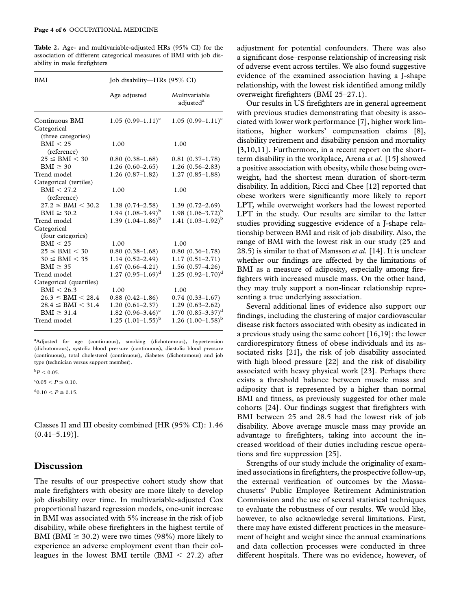Table 2. Age- and multivariable-adjusted HRs (95% CI) for the association of different categorical measures of BMI with job disability in male firefighters

| <b>BMI</b>                | Job disability—HRs (95% CI) |                                        |  |
|---------------------------|-----------------------------|----------------------------------------|--|
|                           | Age adjusted                | Multivariable<br>adjusted <sup>a</sup> |  |
| Continuous BMI            | $1.05(0.99-1.11)^c$         | $1.05(0.99-1.11)^c$                    |  |
| Categorical               |                             |                                        |  |
| (three categories)        |                             |                                        |  |
| BMI < 25                  | 1.00                        | 1.00                                   |  |
| (reference)               |                             |                                        |  |
| $25 \leq BMI < 30$        | $0.80(0.38-1.68)$           | $0.81(0.37-1.78)$                      |  |
| $BMI \geq 30$             | $1.26(0.60-2.65)$           | $1.26(0.56-2.83)$                      |  |
| Trend model               | $1.26(0.87-1.82)$           | $1.27(0.85 - 1.88)$                    |  |
| Categorical (tertiles)    |                             |                                        |  |
| BMI < 27.2                | 1.00                        | 1.00                                   |  |
| (reference)               |                             |                                        |  |
| $27.2 \leq BMI \leq 30.2$ | $1.38(0.74 - 2.58)$         | $1.39(0.72 - 2.69)$                    |  |
| $BMI \geq 30.2$           | 1.94 $(1.08-3.49)^{b}$      | 1.98 $(1.06-3.72)^{b}$                 |  |
| Trend model               | 1.39 $(1.04-1.86)^{b}$      | 1.41 $(1.03-1.92)^{b}$                 |  |
| Categorical               |                             |                                        |  |
| (four categories)         |                             |                                        |  |
| BMI < 25                  | 1.00                        | 1.00                                   |  |
| $25 \leq BMI \leq 30$     | $0.80(0.38-1.68)$           | $0.80(0.36-1.78)$                      |  |
| $30 \leq BMI \leq 35$     | $1.14(0.52 - 2.49)$         | $1.17(0.51 - 2.71)$                    |  |
| $BMI \geq 35$             | $1.67(0.66 - 4.21)$         | $1.56(0.57-4.26)$                      |  |
| Trend model               | $1.27 (0.95 - 1.69)^d$      | 1.25 $(0.92 - 1.70)^d$                 |  |
| Categorical (quartiles)   |                             |                                        |  |
| BMI < 26.3                | 1.00                        | 1.00                                   |  |
| $26.3 \leq BMI \leq 28.4$ | $0.88(0.42 - 1.86)$         | $0.74(0.33 - 1.67)$                    |  |
| $28.4 \leq BMI \leq 31.4$ | $1.20(0.61-2.37)$           | $1.29(0.63 - 2.62)$                    |  |
| $BMI \geq 31.4$           | 1.82 $(0.96 - 3.46)^c$      | 1.70 $(0.85-3.37)^d$                   |  |
| Trend model               | $1.25$ $(1.01-1.55)^{b}$    | 1.26 $(1.00-1.58)^{b}$                 |  |

<sup>a</sup>Adjusted for age (continuous), smoking (dichotomous), hypertension (dichotomous), systolic blood pressure (continuous), diastolic blood pressure (continuous), total cholesterol (continuous), diabetes (dichotomous) and job type (technician versus support member).

 $^{\rm b}P < 0.05.$ 

 $c<sub>0.05</sub> < P \le 0.10$ .

 $\mathrm{^{d}0.10} < P \leq 0.15.$ 

Classes II and III obesity combined [HR (95% CI): 1.46  $(0.41 - 5.19)$ ].

#### Discussion

The results of our prospective cohort study show that male firefighters with obesity are more likely to develop job disability over time. In multivariable-adjusted Cox proportional hazard regression models, one-unit increase in BMI was associated with 5% increase in the risk of job disability, while obese firefighters in the highest tertile of BMI (BMI  $\geq$  30.2) were two times (98%) more likely to experience an adverse employment event than their colleagues in the lowest BMI tertile (BMI  $<$  27.2) after

adjustment for potential confounders. There was also a significant dose–response relationship of increasing risk of adverse event across tertiles. We also found suggestive evidence of the examined association having a J-shape relationship, with the lowest risk identified among mildly overweight firefighters (BMI 25–27.1).

Our results in US firefighters are in general agreement with previous studies demonstrating that obesity is associated with lower work performance [7], higher work limitations, higher workers' compensation claims [8], disability retirement and disability pension and mortality [3,10,11]. Furthermore, in a recent report on the shortterm disability in the workplace, Arena et al. [15] showed a positive association with obesity, while those being overweight, had the shortest mean duration of short-term disability. In addition, Ricci and Chee [12] reported that obese workers were significantly more likely to report LPT, while overweight workers had the lowest reported LPT in the study. Our results are similar to the latter studies providing suggestive evidence of a J-shape relationship between BMI and risk of job disability. Also, the range of BMI with the lowest risk in our study (25 and 28.5) is similar to that of Mansson *et al.* [14]. It is unclear whether our findings are affected by the limitations of BMI as a measure of adiposity, especially among firefighters with increased muscle mass. On the other hand, they may truly support a non-linear relationship representing a true underlying association.

Several additional lines of evidence also support our findings, including the clustering of major cardiovascular disease risk factors associated with obesity as indicated in a previous study using the same cohort [16,19]: the lower cardiorespiratory fitness of obese individuals and its associated risks [21], the risk of job disability associated with high blood pressure [22] and the risk of disability associated with heavy physical work [23]. Perhaps there exists a threshold balance between muscle mass and adiposity that is represented by a higher than normal BMI and fitness, as previously suggested for other male cohorts [24]. Our findings suggest that firefighters with BMI between 25 and 28.5 had the lowest risk of job disability. Above average muscle mass may provide an advantage to firefighters, taking into account the increased workload of their duties including rescue operations and fire suppression [25].

Strengths of our study include the originality of examined associations in firefighters, the prospective follow-up, the external verification of outcomes by the Massachusetts' Public Employee Retirement Administration Commission and the use of several statistical techniques to evaluate the robustness of our results. We would like, however, to also acknowledge several limitations. First, there may have existed different practices in the measurement of height and weight since the annual examinations and data collection processes were conducted in three different hospitals. There was no evidence, however, of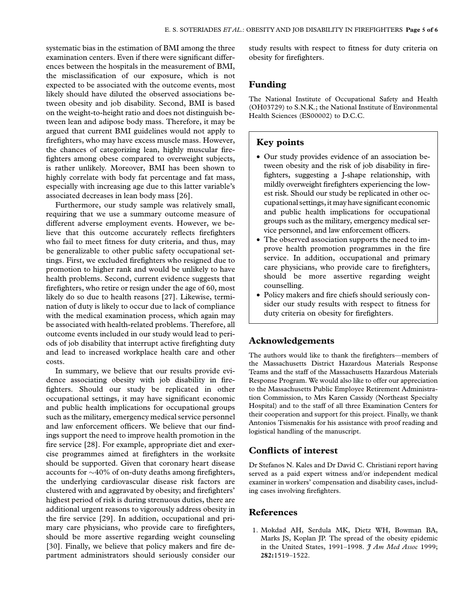systematic bias in the estimation of BMI among the three examination centers. Even if there were significant differences between the hospitals in the measurement of BMI, the misclassification of our exposure, which is not expected to be associated with the outcome events, most likely should have diluted the observed associations between obesity and job disability. Second, BMI is based on the weight-to-height ratio and does not distinguish between lean and adipose body mass. Therefore, it may be argued that current BMI guidelines would not apply to firefighters, who may have excess muscle mass. However, the chances of categorizing lean, highly muscular firefighters among obese compared to overweight subjects, is rather unlikely. Moreover, BMI has been shown to highly correlate with body fat percentage and fat mass, especially with increasing age due to this latter variable's associated decreases in lean body mass [26].

Furthermore, our study sample was relatively small, requiring that we use a summary outcome measure of different adverse employment events. However, we believe that this outcome accurately reflects firefighters who fail to meet fitness for duty criteria, and thus, may be generalizable to other public safety occupational settings. First, we excluded firefighters who resigned due to promotion to higher rank and would be unlikely to have health problems. Second, current evidence suggests that firefighters, who retire or resign under the age of 60, most likely do so due to health reasons [27]. Likewise, termination of duty is likely to occur due to lack of compliance with the medical examination process, which again may be associated with health-related problems. Therefore, all outcome events included in our study would lead to periods of job disability that interrupt active firefighting duty and lead to increased workplace health care and other costs.

In summary, we believe that our results provide evidence associating obesity with job disability in firefighters. Should our study be replicated in other occupational settings, it may have significant economic and public health implications for occupational groups such as the military, emergency medical service personnel and law enforcement officers. We believe that our findings support the need to improve health promotion in the fire service [28]. For example, appropriate diet and exercise programmes aimed at firefighters in the worksite should be supported. Given that coronary heart disease accounts for  $\sim$ 40% of on-duty deaths among firefighters, the underlying cardiovascular disease risk factors are clustered with and aggravated by obesity; and firefighters' highest period of risk is during strenuous duties, there are additional urgent reasons to vigorously address obesity in the fire service [29]. In addition, occupational and primary care physicians, who provide care to firefighters, should be more assertive regarding weight counseling [30]. Finally, we believe that policy makers and fire department administrators should seriously consider our study results with respect to fitness for duty criteria on obesity for firefighters.

#### Funding

The National Institute of Occupational Safety and Health (OH03729) to S.N.K.; the National Institute of Environmental Health Sciences (ES00002) to D.C.C.

## Key points

- Our study provides evidence of an association between obesity and the risk of job disability in firefighters, suggesting a J-shape relationship, with mildly overweight firefighters experiencing the lowest risk. Should our study be replicated in other occupational settings,itmay have significant economic and public health implications for occupational groups such as the military, emergency medical service personnel, and law enforcement officers.
- The observed association supports the need to improve health promotion programmes in the fire service. In addition, occupational and primary care physicians, who provide care to firefighters, should be more assertive regarding weight counselling.
- Policy makers and fire chiefs should seriously consider our study results with respect to fitness for duty criteria on obesity for firefighters.

#### Acknowledgements

The authors would like to thank the firefighters—members of the Massachusetts District Hazardous Materials Response Teams and the staff of the Massachusetts Hazardous Materials Response Program. We would also like to offer our appreciation to the Massachusetts Public Employee Retirement Administration Commission, to Mrs Karen Cassidy (Northeast Specialty Hospital) and to the staff of all three Examination Centers for their cooperation and support for this project. Finally, we thank Antonios Tsismenakis for his assistance with proof reading and logistical handling of the manuscript.

### Conflicts of interest

Dr Stefanos N. Kales and Dr David C. Christiani report having served as a paid expert witness and/or independent medical examiner in workers' compensation and disability cases, including cases involving firefighters.

#### References

1. Mokdad AH, Serdula MK, Dietz WH, Bowman BA, Marks JS, Koplan JP. The spread of the obesity epidemic in the United States, 1991-1998.  $\widetilde{\mathcal{J}}$  Am Med Assoc 1999; 282:1519–1522.